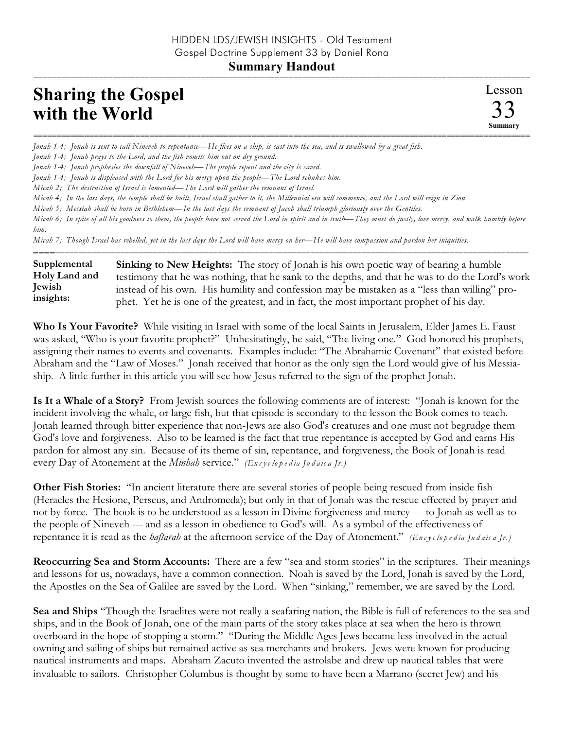## =========================================================================================================== **Sharing the Gospel with the World**

=========================================================================================================== *Jonah 1-4; Jonah is sent to call Nineveh to repentance—He flees on a ship, is cast into the sea, and is swallowed by a great fish.* 

*Jonah 1-4; Jonah prays to the Lord, and the fish vomits him out on dry ground.* 

*Jonah 1-4; Jonah prophesies the downfall of Nineveh—The people repent and the city is saved.* 

*Jonah 1-4; Jonah is displeased with the Lord for his mercy upon the people—The Lord rebukes him.* 

*Micah 2; The destruction of Israel is lamented—The Lord will gather the remnant of Israel.* 

*Micah 4; In the last days, the temple shall be built, Israel shall gather to it, the Millennial era will commence, and the Lord will reign in Zion.*

*Micah 5; Messiah shall be born in Bethlehem—In the last days the remnant of Jacob shall triumph gloriously over the Gentiles.*

*Micah 6; In spite of all his goodness to them, the people have not served the Lord in spirit and in truth—They must do justly, love mercy, and walk humbly before him.* 

*Micah 7; Though Israel has rebelled, yet in the last days the Lord will have mercy on her—He will have compassion and pardon her iniquities.*

========================================================================================================== **Sinking to New Heights:** The story of Jonah is his own poetic way of bearing a humble testimony that he was nothing, that he sank to the depths, and that he was to do the Lord's work instead of his own. His humility and confession may be mistaken as a "less than willing" prophet. Yet he is one of the greatest, and in fact, the most important prophet of his day. **Supplemental Holy Land and Jewish insights:**

**Who Is Your Favorite?** While visiting in Israel with some of the local Saints in Jerusalem, Elder James E. Faust was asked, "Who is your favorite prophet?" Unhesitatingly, he said, "The living one." God honored his prophets, assigning their names to events and covenants. Examples include: "The Abrahamic Covenant" that existed before Abraham and the "Law of Moses." Jonah received that honor as the only sign the Lord would give of his Messiaship. A little further in this article you will see how Jesus referred to the sign of the prophet Jonah.

**Is It a Whale of a Story?** From Jewish sources the following comments are of interest: "Jonah is known for the incident involving the whale, or large fish, but that episode is secondary to the lesson the Book comes to teach. Jonah learned through bitter experience that non-Jews are also God's creatures and one must not begrudge them God's love and forgiveness. Also to be learned is the fact that true repentance is accepted by God and earns His pardon for almost any sin. Because of its theme of sin, repentance, and forgiveness, the Book of Jonah is read every Day of Atonement at the *Minhah* service." *(En c y c lo p e d ia Ju d a ic a Jr.)*

**Other Fish Stories:** "In ancient literature there are several stories of people being rescued from inside fish (Heracles the Hesione, Perseus, and Andromeda); but only in that of Jonah was the rescue effected by prayer and not by force. The book is to be understood as a lesson in Divine forgiveness and mercy --- to Jonah as well as to the people of Nineveh --- and as a lesson in obedience to God's will. As a symbol of the effectiveness of repentance it is read as the *haftarah* at the afternoon service of the Day of Atonement." (Encyclopedia Judaica Ir.)

**Reoccurring Sea and Storm Accounts:** There are a few "sea and storm stories" in the scriptures. Their meanings and lessons for us, nowadays, have a common connection. Noah is saved by the Lord, Jonah is saved by the Lord, the Apostles on the Sea of Galilee are saved by the Lord. When "sinking," remember, we are saved by the Lord.

**Sea and Ships** "Though the Israelites were not really a seafaring nation, the Bible is full of references to the sea and ships, and in the Book of Jonah, one of the main parts of the story takes place at sea when the hero is thrown overboard in the hope of stopping a storm." "During the Middle Ages Jews became less involved in the actual owning and sailing of ships but remained active as sea merchants and brokers. Jews were known for producing nautical instruments and maps. Abraham Zacuto invented the astrolabe and drew up nautical tables that were invaluable to sailors. Christopher Columbus is thought by some to have been a Marrano (secret Jew) and his